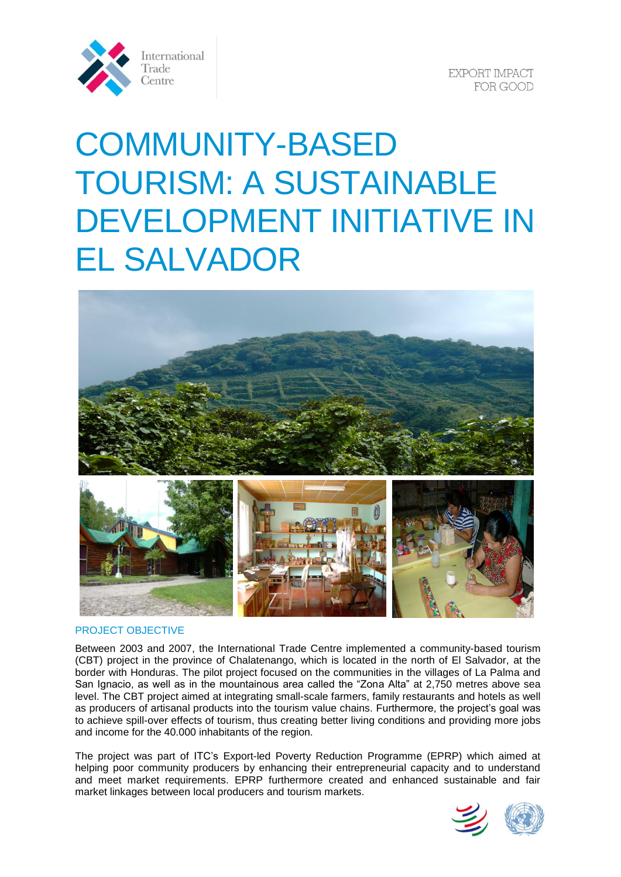

**EXPORT IMPACT** FOR GOOD

# COMMUNITY-BASED TOURISM: A SUSTAINABLE DEVELOPMENT INITIATIVE IN EL SALVADOR



#### PROJECT OBJECTIVE

Between 2003 and 2007, the International Trade Centre implemented a community-based tourism (CBT) project in the province of Chalatenango, which is located in the north of El Salvador, at the border with Honduras. The pilot project focused on the communities in the villages of La Palma and San Ignacio, as well as in the mountainous area called the "Zona Alta" at 2,750 metres above sea level. The CBT project aimed at integrating small-scale farmers, family restaurants and hotels as well as producers of artisanal products into the tourism value chains. Furthermore, the project's goal was to achieve spill-over effects of tourism, thus creating better living conditions and providing more jobs and income for the 40.000 inhabitants of the region.

The project was part of ITC's Export-led Poverty Reduction Programme (EPRP) which aimed at helping poor community producers by enhancing their entrepreneurial capacity and to understand and meet market requirements. EPRP furthermore created and enhanced sustainable and fair market linkages between local producers and tourism markets.